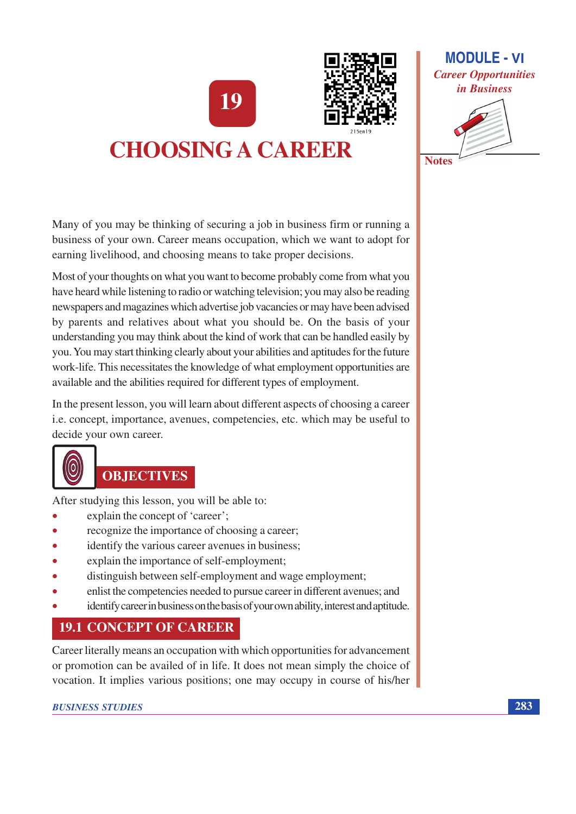19



# **CHOOSING A CAREER**

**MODULE - VI Career Opportunities** in Business

**Notes** 

Many of you may be thinking of securing a job in business firm or running a business of your own. Career means occupation, which we want to adopt for earning livelihood, and choosing means to take proper decisions.

Most of your thoughts on what you want to become probably come from what you have heard while listening to radio or watching television; you may also be reading newspapers and magazines which advertise job vacancies or may have been advised by parents and relatives about what you should be. On the basis of your understanding you may think about the kind of work that can be handled easily by you. You may start thinking clearly about your abilities and aptitudes for the future work-life. This necessitates the knowledge of what employment opportunities are available and the abilities required for different types of employment.

In the present lesson, you will learn about different aspects of choosing a career i.e. concept, importance, avenues, competencies, etc. which may be useful to decide your own career.



## **OBJECTIVES**

After studying this lesson, you will be able to:

- explain the concept of 'career';
- recognize the importance of choosing a career; ä
- identify the various career avenues in business;
- explain the importance of self-employment;  $\blacksquare$
- distinguish between self-employment and wage employment;  $\bullet$
- enlist the competencies needed to pursue career in different avenues; and
- identify career in business on the basis of your own ability, interest and aptitude.

## **19.1 CONCEPT OF CAREER**

Career literally means an occupation with which opportunities for advancement or promotion can be availed of in life. It does not mean simply the choice of vocation. It implies various positions; one may occupy in course of his/her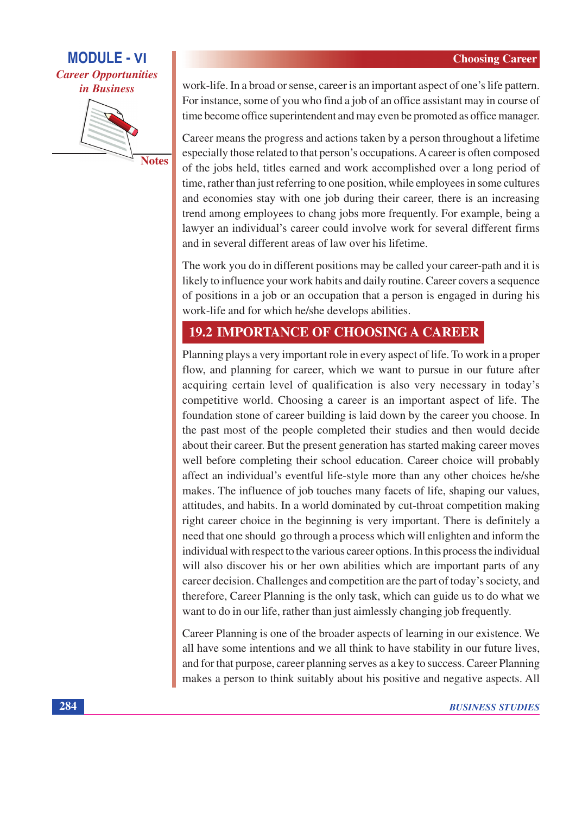



**Notes** 

work-life. In a broad or sense, career is an important aspect of one's life pattern. For instance, some of you who find a job of an office assistant may in course of time become office superintendent and may even be promoted as office manager.

Career means the progress and actions taken by a person throughout a lifetime especially those related to that person's occupations. A career is often composed of the jobs held, titles earned and work accomplished over a long period of time, rather than just referring to one position, while employees in some cultures and economies stay with one job during their career, there is an increasing trend among employees to chang jobs more frequently. For example, being a lawyer an individual's career could involve work for several different firms and in several different areas of law over his lifetime.

The work you do in different positions may be called your career-path and it is likely to influence your work habits and daily routine. Career covers a sequence of positions in a job or an occupation that a person is engaged in during his work-life and for which he/she develops abilities.

### **19.2 IMPORTANCE OF CHOOSING A CAREER**

Planning plays a very important role in every aspect of life. To work in a proper flow, and planning for career, which we want to pursue in our future after acquiring certain level of qualification is also very necessary in today's competitive world. Choosing a career is an important aspect of life. The foundation stone of career building is laid down by the career you choose. In the past most of the people completed their studies and then would decide about their career. But the present generation has started making career moves well before completing their school education. Career choice will probably affect an individual's eventful life-style more than any other choices he/she makes. The influence of job touches many facets of life, shaping our values, attitudes, and habits. In a world dominated by cut-throat competition making right career choice in the beginning is very important. There is definitely a need that one should go through a process which will enlighten and inform the individual with respect to the various career options. In this process the individual will also discover his or her own abilities which are important parts of any career decision. Challenges and competition are the part of today's society, and therefore, Career Planning is the only task, which can guide us to do what we want to do in our life, rather than just aimlessly changing job frequently.

Career Planning is one of the broader aspects of learning in our existence. We all have some intentions and we all think to have stability in our future lives, and for that purpose, career planning serves as a key to success. Career Planning makes a person to think suitably about his positive and negative aspects. All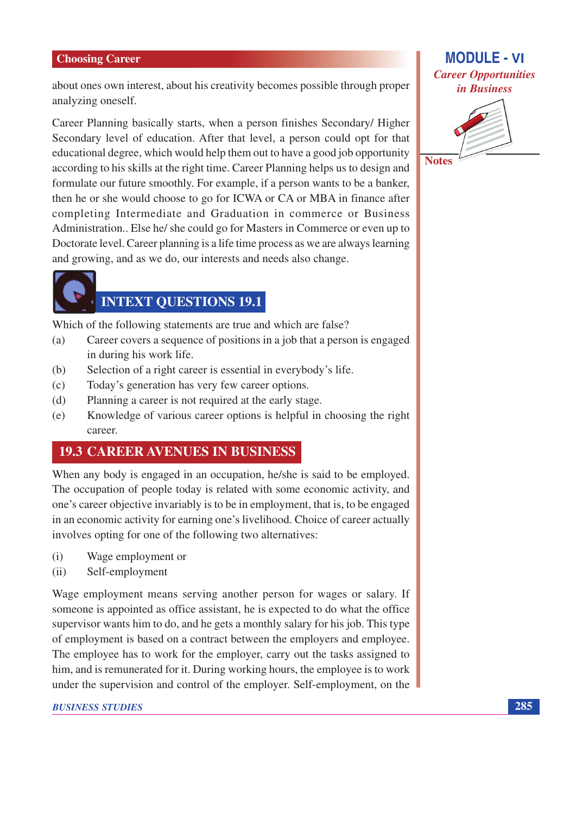about ones own interest, about his creativity becomes possible through proper analyzing oneself.

Career Planning basically starts, when a person finishes Secondary/ Higher Secondary level of education. After that level, a person could opt for that educational degree, which would help them out to have a good job opportunity according to his skills at the right time. Career Planning helps us to design and formulate our future smoothly. For example, if a person wants to be a banker, then he or she would choose to go for ICWA or CA or MBA in finance after completing Intermediate and Graduation in commerce or Business Administration.. Else he/she could go for Masters in Commerce or even up to Doctorate level. Career planning is a life time process as we are always learning and growing, and as we do, our interests and needs also change.



## **INTEXT QUESTIONS 19.1**

Which of the following statements are true and which are false?

- Career covers a sequence of positions in a job that a person is engaged  $(a)$ in during his work life.
- Selection of a right career is essential in everybody's life. (b)
- Today's generation has very few career options.  $(c)$
- Planning a career is not required at the early stage.  $(d)$
- Knowledge of various career options is helpful in choosing the right  $(e)$ career.

#### **19.3 CAREER AVENUES IN BUSINESS**

When any body is engaged in an occupation, he/she is said to be employed. The occupation of people today is related with some economic activity, and one's career objective invariably is to be in employment, that is, to be engaged in an economic activity for earning one's livelihood. Choice of career actually involves opting for one of the following two alternatives:

- Wage employment or  $(i)$
- $(ii)$ Self-employment

Wage employment means serving another person for wages or salary. If someone is appointed as office assistant, he is expected to do what the office supervisor wants him to do, and he gets a monthly salary for his job. This type of employment is based on a contract between the employers and employee. The employee has to work for the employer, carry out the tasks assigned to him, and is remunerated for it. During working hours, the employee is to work under the supervision and control of the employer. Self-employment, on the

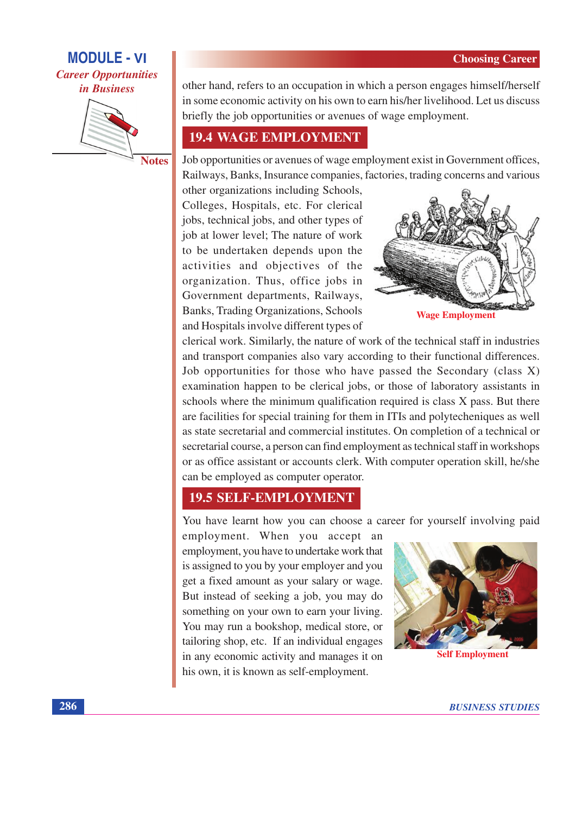## **MODULE - VI Career Opportunities** *in Business*



**Notes** 

other hand, refers to an occupation in which a person engages himself/herself in some economic activity on his own to earn his/her livelihood. Let us discuss briefly the job opportunities or avenues of wage employment.

## **19.4 WAGE EMPLOYMENT**

Job opportunities or avenues of wage employment exist in Government offices, Railways, Banks, Insurance companies, factories, trading concerns and various

other organizations including Schools, Colleges, Hospitals, etc. For clerical jobs, technical jobs, and other types of job at lower level; The nature of work to be undertaken depends upon the activities and objectives of the organization. Thus, office jobs in Government departments, Railways, Banks, Trading Organizations, Schools and Hospitals involve different types of



clerical work. Similarly, the nature of work of the technical staff in industries and transport companies also vary according to their functional differences. Job opportunities for those who have passed the Secondary (class X) examination happen to be clerical jobs, or those of laboratory assistants in schools where the minimum qualification required is class X pass. But there are facilities for special training for them in ITIs and polytecheniques as well as state secretarial and commercial institutes. On completion of a technical or secretarial course, a person can find employment as technical staff in workshops or as office assistant or accounts clerk. With computer operation skill, he/she can be employed as computer operator.

## **19.5 SELF-EMPLOYMENT**

You have learnt how you can choose a career for yourself involving paid

employment. When you accept an employment, you have to undertake work that is assigned to you by your employer and you get a fixed amount as your salary or wage. But instead of seeking a job, you may do something on your own to earn your living. You may run a bookshop, medical store, or tailoring shop, etc. If an individual engages in any economic activity and manages it on his own, it is known as self-employment.



**Self Employment**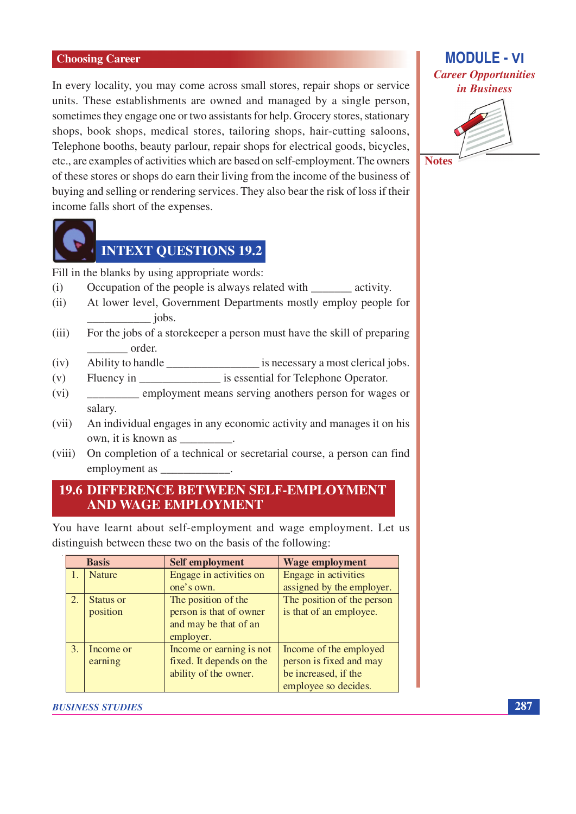In every locality, you may come across small stores, repair shops or service units. These establishments are owned and managed by a single person, sometimes they engage one or two assistants for help. Grocery stores, stationary shops, book shops, medical stores, tailoring shops, hair-cutting saloons, Telephone booths, beauty parlour, repair shops for electrical goods, bicycles, etc., are examples of activities which are based on self-employment. The owners of these stores or shops do earn their living from the income of the business of buying and selling or rendering services. They also bear the risk of loss if their income falls short of the expenses.



## **INTEXT OUESTIONS 19.2**

Fill in the blanks by using appropriate words:

- Occupation of the people is always related with \_\_\_\_\_\_\_\_\_ activity.  $(i)$
- $(ii)$ At lower level, Government Departments mostly employ people for jobs.
- $(iii)$ For the jobs of a storekeeper a person must have the skill of preparing \_\_\_\_ order.
- Ability to handle \_\_\_\_\_\_\_\_\_\_\_\_\_\_\_\_\_\_\_\_\_\_\_\_ is necessary a most clerical jobs.  $(iv)$
- Fluency in is essential for Telephone Operator.  $(v)$
- employment means serving anothers person for wages or  $(vi)$ salary.
- An individual engages in any economic activity and manages it on his  $(vii)$ own, it is known as
- On completion of a technical or secretarial course, a person can find  $(viii)$ employment as \_

### **19.6 DIFFERENCE BETWEEN SELF-EMPLOYMENT AND WAGE EMPLOYMENT**

You have learnt about self-employment and wage employment. Let us distinguish between these two on the basis of the following:

| <b>Basis</b> |                       | <b>Self employment</b>                                                               | <b>Wage employment</b>                                                                            |
|--------------|-----------------------|--------------------------------------------------------------------------------------|---------------------------------------------------------------------------------------------------|
|              | <b>Nature</b>         | Engage in activities on<br>one's own.                                                | Engage in activities<br>assigned by the employer.                                                 |
| 2.           | Status or<br>position | The position of the<br>person is that of owner<br>and may be that of an<br>employer. | The position of the person<br>is that of an employee.                                             |
| 3.           | Income or<br>earning  | Income or earning is not<br>fixed. It depends on the<br>ability of the owner.        | Income of the employed<br>person is fixed and may<br>be increased, if the<br>employee so decides. |

#### **BUSINESS STUDIES**

## **MODULE - VI Career Opportunities** in Business



**Notes**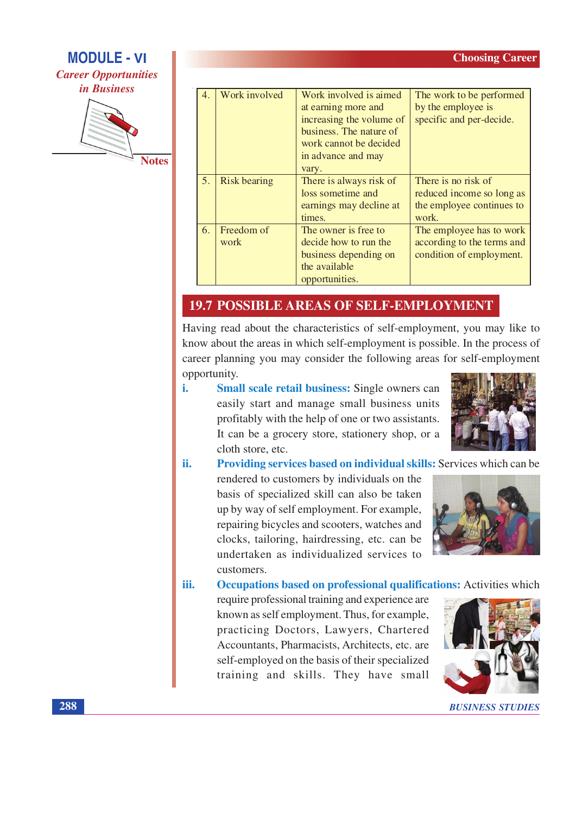# **MODULE - VI Career Opportunities** *in Business*



| $\overline{4}$ . | Work involved       | Work involved is aimed<br>at earning more and<br>increasing the volume of<br>business. The nature of<br>work cannot be decided<br>in advance and may<br>vary. | The work to be performed<br>by the employee is<br>specific and per-decide.             |
|------------------|---------------------|---------------------------------------------------------------------------------------------------------------------------------------------------------------|----------------------------------------------------------------------------------------|
| 5 <sub>1</sub>   | <b>Risk bearing</b> | There is always risk of<br>loss sometime and<br>earnings may decline at<br>times.                                                                             | There is no risk of<br>reduced income so long as<br>the employee continues to<br>work. |
| 6.               | Freedom of<br>work  | The owner is free to<br>decide how to run the<br>business depending on<br>the available<br>opportunities.                                                     | The employee has to work<br>according to the terms and<br>condition of employment.     |

### **19.7 POSSIBLE AREAS OF SELF-EMPLOYMENT**

Having read about the characteristics of self-employment, you may like to know about the areas in which self-employment is possible. In the process of career planning you may consider the following areas for self-employment opportunity.

i. Small scale retail business: Single owners can easily start and manage small business units profitably with the help of one or two assistants. It can be a grocery store, stationery shop, or a cloth store, etc.



**Providing services based on individual skills:** Services which can be ii.

rendered to customers by individuals on the basis of specialized skill can also be taken up by way of self employment. For example, repairing bicycles and scooters, watches and clocks, tailoring, hairdressing, etc. can be undertaken as individualized services to customers.



iii. Occupations based on professional qualifications: Activities which

require professional training and experience are known as self employment. Thus, for example, practicing Doctors, Lawyers, Chartered Accountants, Pharmacists, Architects, etc. are self-employed on the basis of their specialized training and skills. They have small



**BUSINESS STUDIES**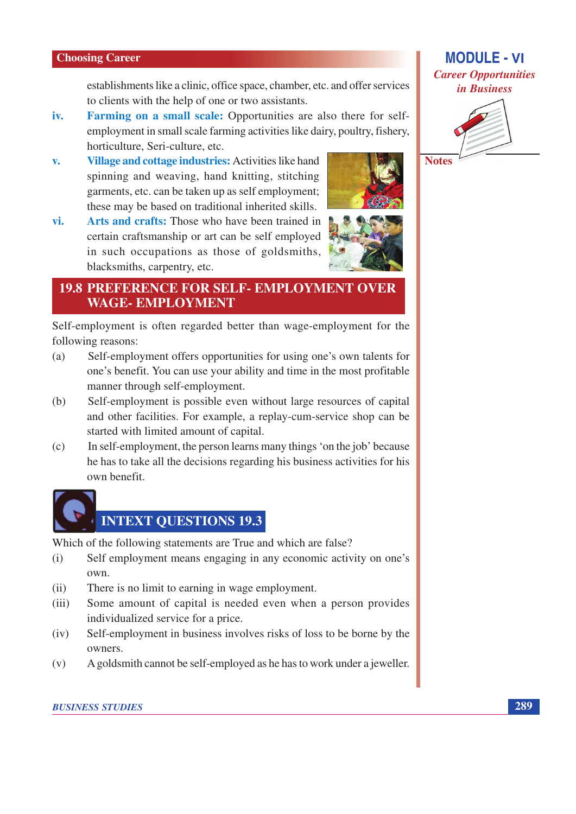establishments like a clinic, office space, chamber, etc. and offer services to clients with the help of one or two assistants.

- Farming on a small scale: Opportunities are also there for selfiv. employment in small scale farming activities like dairy, poultry, fishery, horticulture, Seri-culture, etc.
- Village and cottage industries: Activities like hand  $\mathbf{v}$ . spinning and weaving, hand knitting, stitching garments, etc. can be taken up as self employment; these may be based on traditional inherited skills.
- vi. Arts and crafts: Those who have been trained in certain craftsmanship or art can be self employed in such occupations as those of goldsmiths, blacksmiths, carpentry, etc.



#### **19.8 PREFERENCE FOR SELF- EMPLOYMENT OVER WAGE-EMPLOYMENT**

Self-employment is often regarded better than wage-employment for the following reasons:

- $(a)$ Self-employment offers opportunities for using one's own talents for one's benefit. You can use your ability and time in the most profitable manner through self-employment.
- Self-employment is possible even without large resources of capital (b) and other facilities. For example, a replay-cum-service shop can be started with limited amount of capital.
- In self-employment, the person learns many things 'on the job' because  $(c)$ he has to take all the decisions regarding his business activities for his own benefit.

# **INTEXT QUESTIONS 19.3**

Which of the following statements are True and which are false?

- Self employment means engaging in any economic activity on one's  $(i)$ own.
- There is no limit to earning in wage employment.  $(ii)$
- Some amount of capital is needed even when a person provides  $(iii)$ individualized service for a price.
- Self-employment in business involves risks of loss to be borne by the  $(iv)$ owners.
- A goldsmith cannot be self-employed as he has to work under a jeweller.  $(v)$

## **MODULE - VI Career Opportunities** in Business



**Notes**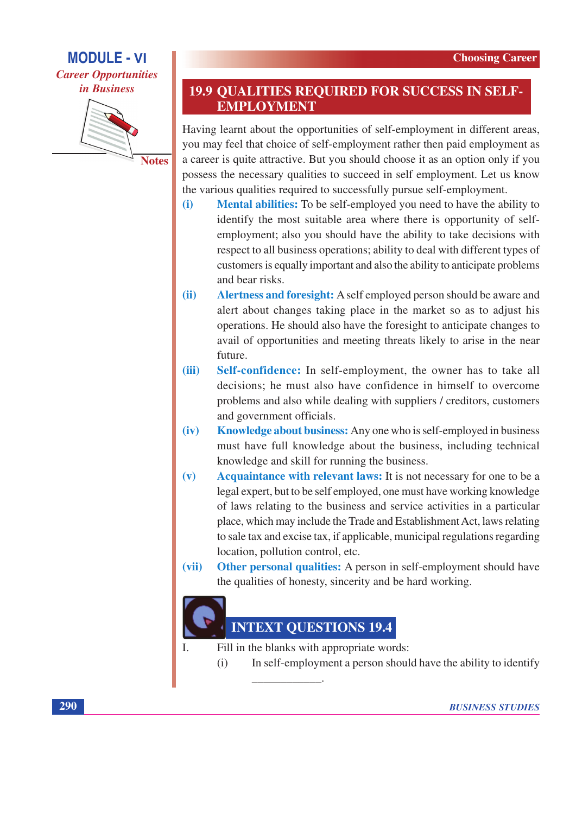## **MODULE - VI Career Opportunities**



**Notes** 

### **19.9 QUALITIES REQUIRED FOR SUCCESS IN SELF-EMPLOYMENT**

Having learnt about the opportunities of self-employment in different areas, you may feel that choice of self-employment rather then paid employment as a career is quite attractive. But you should choose it as an option only if you possess the necessary qualities to succeed in self employment. Let us know the various qualities required to successfully pursue self-employment.

- Mental abilities: To be self-employed you need to have the ability to  $(i)$ identify the most suitable area where there is opportunity of selfemployment; also you should have the ability to take decisions with respect to all business operations; ability to deal with different types of customers is equally important and also the ability to anticipate problems and bear risks.
- Alertness and foresight: A self employed person should be aware and  $(ii)$ alert about changes taking place in the market so as to adjust his operations. He should also have the foresight to anticipate changes to avail of opportunities and meeting threats likely to arise in the near future.
- Self-confidence: In self-employment, the owner has to take all  $(iii)$ decisions; he must also have confidence in himself to overcome problems and also while dealing with suppliers / creditors, customers and government officials.
- $(iv)$ **Knowledge about business:** Any one who is self-employed in business must have full knowledge about the business, including technical knowledge and skill for running the business.
- Acquaintance with relevant laws: It is not necessary for one to be a  $(v)$ legal expert, but to be self employed, one must have working knowledge of laws relating to the business and service activities in a particular place, which may include the Trade and Establishment Act, laws relating to sale tax and excise tax, if applicable, municipal regulations regarding location, pollution control, etc.
- Other personal qualities: A person in self-employment should have  $(vii)$ the qualities of honesty, sincerity and be hard working.

## **INTEXT QUESTIONS 19.4**

Fill in the blanks with appropriate words:

 $\mathbf{L}$ 

In self-employment a person should have the ability to identify  $(i)$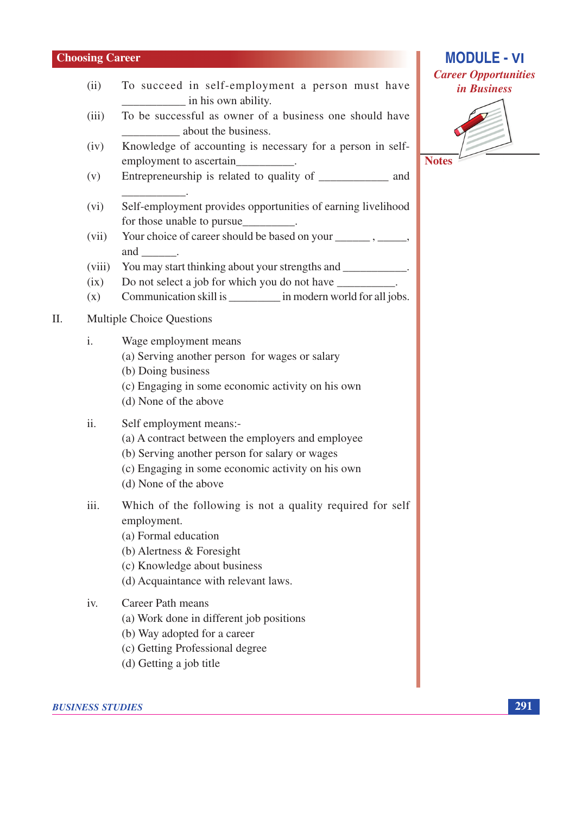$(ii)$ 

- **MODULE VI Career Opportunities** in Business
	-

**Notes** 

To be successful as owner of a business one should have  $(iii)$ about the business.

in his own ability.

To succeed in self-employment a person must have

- Knowledge of accounting is necessary for a person in self- $(iv)$ employment to ascertain
- Entrepreneurship is related to quality of and  $(v)$
- Self-employment provides opportunities of earning livelihood  $(vi)$ for those unable to pursue
- $(vii)$ and .
- You may start thinking about your strengths and \_\_\_\_\_\_\_\_\_\_\_\_\_\_.  $(viii)$
- Do not select a job for which you do not have  $(ix)$
- Communication skill is \_\_\_\_\_\_\_\_\_\_ in modern world for all jobs.  $(x)$

#### **Multiple Choice Questions** II.

- $\mathbf{i}$ . Wage employment means
	- (a) Serving another person for wages or salary
	- (b) Doing business
	- (c) Engaging in some economic activity on his own
	- (d) None of the above

#### $ii.$ Self employment means:-

- (a) A contract between the employers and employee
- (b) Serving another person for salary or wages
- (c) Engaging in some economic activity on his own
- (d) None of the above
- Which of the following is not a quality required for self iii. employment.
	- (a) Formal education
	- (b) Alertness  $&$  Foresight
	- (c) Knowledge about business
	- (d) Acquaintance with relevant laws.

#### $iv.$ Career Path means

- (a) Work done in different job positions
- (b) Way adopted for a career
- (c) Getting Professional degree
- (d) Getting a job title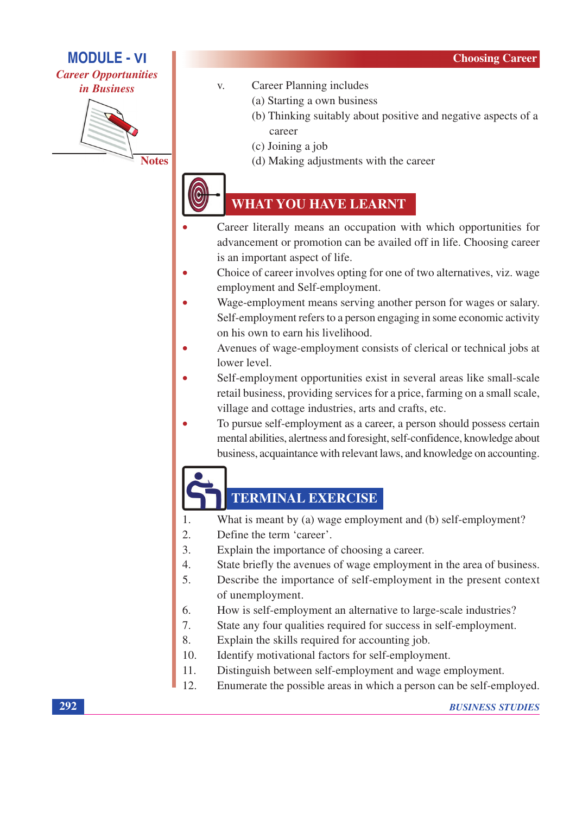## **MODULE - VI**

**Career Opportunities** *in Business* 



**Notes** 

- **Career Planning includes**  $V_{\cdot}$ 
	- (a) Starting a own business
	- (b) Thinking suitably about positive and negative aspects of a career
	- (c) Joining a job
	- (d) Making adjustments with the career

## **WHAT YOU HAVE LEARNT**

- Career literally means an occupation with which opportunities for advancement or promotion can be availed off in life. Choosing career is an important aspect of life.
- Choice of career involves opting for one of two alternatives, viz. wage employment and Self-employment.
- Wage-employment means serving another person for wages or salary. Self-employment refers to a person engaging in some economic activity on his own to earn his livelihood.
- Avenues of wage-employment consists of clerical or technical jobs at lower level.
- Self-employment opportunities exist in several areas like small-scale retail business, providing services for a price, farming on a small scale, village and cottage industries, arts and crafts, etc.
- To pursue self-employment as a career, a person should possess certain mental abilities, alertness and foresight, self-confidence, knowledge about business, acquaintance with relevant laws, and knowledge on accounting.

## **TERMINAL EXERCISE**

- What is meant by (a) wage employment and (b) self-employment? 1.
- $\overline{2}$ . Define the term 'career'.
- $3.$ Explain the importance of choosing a career.
- State briefly the avenues of wage employment in the area of business.  $\overline{4}$ .
- $\overline{5}$ . Describe the importance of self-employment in the present context of unemployment.
- How is self-employment an alternative to large-scale industries? 6.
- State any four qualities required for success in self-employment. 7.
- 8. Explain the skills required for accounting job.
- $10.$ Identify motivational factors for self-employment.
- $11.$ Distinguish between self-employment and wage employment.
- $12<sub>1</sub>$ Enumerate the possible areas in which a person can be self-employed.